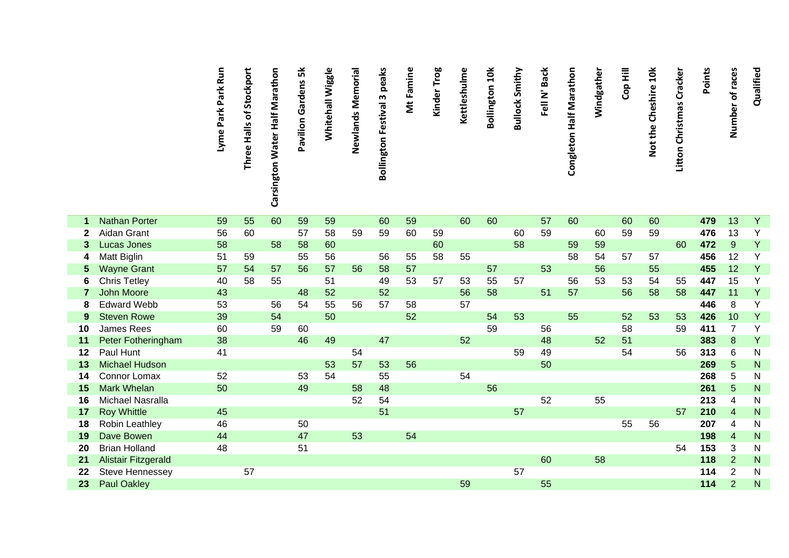|              |                                                      | Lyme Park Park Run | Three Halls of Stockport | Carsington Water Half Marathon | Pavilion Gardens 5k | Whitehall Wiggle | Newlands Memorial | <b>Bollington Festival 3 peaks</b> | Mt Famine | Kinder Trog | Kettleshulme | <b>Bollington 10k</b> | <b>Bullock Smithy</b> | Fell N' Back | Congleton Half Marathon | Windgather | Cop Hill | Not the Cheshire 10k | Litton Christmas Cracker | Points     | Number of races         | Qualified                 |
|--------------|------------------------------------------------------|--------------------|--------------------------|--------------------------------|---------------------|------------------|-------------------|------------------------------------|-----------|-------------|--------------|-----------------------|-----------------------|--------------|-------------------------|------------|----------|----------------------|--------------------------|------------|-------------------------|---------------------------|
|              |                                                      |                    |                          |                                |                     |                  |                   |                                    |           |             |              |                       |                       |              |                         |            |          |                      |                          |            |                         |                           |
| 1            | <b>Nathan Porter</b>                                 | 59                 | 55                       | 60                             | 59                  | 59               |                   | 60                                 | 59        |             | 60           | 60                    |                       | 57           | 60                      |            | 60       | 60                   |                          | 479        | 13                      | $\overline{Y}$            |
| $\mathbf{2}$ | Aidan Grant                                          | 56                 | 60                       |                                | 57                  | 58               | 59                | 59                                 | 60        | 59          |              |                       | 60                    | 59           |                         | 60         | 59       | 59                   |                          | 476        | 13                      | Y                         |
| 3            | <b>Lucas Jones</b>                                   | 58                 |                          | 58                             | 58                  | 60               |                   |                                    |           | 60          |              |                       | 58                    |              | 59                      | 59         |          |                      | 60                       | 472        | 9                       | Y                         |
| 4            | Matt Biglin                                          | 51                 | 59                       |                                | 55                  | 56               |                   | 56                                 | 55        | 58          | 55           |                       |                       |              | 58                      | 54         | 57       | 57                   |                          | 456        | 12                      | $\overline{Y}$            |
| 5            | <b>Wayne Grant</b>                                   | 57                 | 54                       | 57                             | 56                  | 57               | 56                | 58                                 | 57        |             |              | 57                    |                       | 53           |                         | 56         |          | 55                   |                          | 455        | 12                      | Y                         |
| 6            | <b>Chris Tetley</b>                                  | 40                 | 58                       | 55                             |                     | 51               |                   | 49                                 | 53        | 57          | 53           | 55                    | 57                    |              | 56                      | 53         | 53       | 54                   | 55                       | 447        | 15                      | Y                         |
| 7            | <b>John Moore</b>                                    | 43                 |                          |                                | 48                  | 52               |                   | 52                                 |           |             | 56           | 58                    |                       | 51           | 57                      |            | 56       | 58                   | 58                       | 447        | 11                      | Y                         |
| 8            | <b>Edward Webb</b>                                   | 53                 |                          | 56                             | 54                  | 55               | 56                | 57                                 | 58        |             | 57           |                       |                       |              |                         |            |          |                      |                          | 446        | 8                       | Y                         |
| 9            | <b>Steven Rowe</b>                                   | 39                 |                          | 54                             |                     | 50               |                   |                                    | 52        |             |              | 54                    | 53                    |              | 55                      |            | 52       | 53                   | 53                       | 426        | 10                      | Y                         |
| 10           | <b>James Rees</b>                                    | 60                 |                          | 59                             | 60                  |                  |                   |                                    |           |             |              | 59                    |                       | 56           |                         |            | 58       |                      | 59                       | 411        | $\overline{7}$          | Y                         |
| 11           | Peter Fotheringham                                   | 38                 |                          |                                | 46                  | 49               |                   | 47                                 |           |             | 52           |                       |                       | 48           |                         | 52         | 51       |                      |                          | 383        | $\bf 8$                 | Y                         |
| 12           | <b>Paul Hunt</b>                                     | 41                 |                          |                                |                     |                  | 54                |                                    |           |             |              |                       | 59                    | 49           |                         |            | 54       |                      | 56                       | 313        | 6                       | ${\sf N}$                 |
| 13           | <b>Michael Hudson</b>                                |                    |                          |                                |                     | 53               | 57                | 53                                 | 56        |             |              |                       |                       | 50           |                         |            |          |                      |                          | 269        | 5                       | N                         |
| 14           | Connor Lomax                                         | 52                 |                          |                                | 53                  | 54               |                   | 55                                 |           |             | 54           |                       |                       |              |                         |            |          |                      |                          | 268        | 5                       | N                         |
| 15           | <b>Mark Whelan</b>                                   | 50                 |                          |                                | 49                  |                  | 58                | 48                                 |           |             |              | 56                    |                       |              |                         |            |          |                      |                          | 261        | 5                       | N                         |
| 16           | Michael Nasralla                                     |                    |                          |                                |                     |                  | 52                | 54<br>51                           |           |             |              |                       |                       | 52           |                         | 55         |          |                      |                          | 213        | 4                       | $\mathsf{N}$              |
| 17           | <b>Roy Whittle</b>                                   | 45                 |                          |                                |                     |                  |                   |                                    |           |             |              |                       | 57                    |              |                         |            |          |                      | 57                       | 210        | $\overline{\mathbf{4}}$ | ${\sf N}$                 |
| 18           | Robin Leathley<br>Dave Bowen                         | 46<br>44           |                          |                                | 50<br>47            |                  | 53                |                                    | 54        |             |              |                       |                       |              |                         |            | 55       | 56                   |                          | 207        | 4                       | ${\sf N}$<br>$\mathsf{N}$ |
| 19<br>20     | <b>Brian Holland</b>                                 | 48                 |                          |                                | 51                  |                  |                   |                                    |           |             |              |                       |                       |              |                         |            |          |                      | 54                       | 198<br>153 | $\overline{4}$<br>3     |                           |
|              |                                                      |                    |                          |                                |                     |                  |                   |                                    |           |             |              |                       |                       | 60           |                         | 58         |          |                      |                          | 118        | $\overline{2}$          | N<br>${\sf N}$            |
| 21<br>22     | <b>Alistair Fitzgerald</b><br><b>Steve Hennessey</b> |                    | 57                       |                                |                     |                  |                   |                                    |           |             |              |                       | 57                    |              |                         |            |          |                      |                          | 114        | $\overline{2}$          | ${\sf N}$                 |
| 23           | <b>Paul Oakley</b>                                   |                    |                          |                                |                     |                  |                   |                                    |           |             | 59           |                       |                       | 55           |                         |            |          |                      |                          | 114        | $\overline{2}$          | $\mathsf{N}$              |
|              |                                                      |                    |                          |                                |                     |                  |                   |                                    |           |             |              |                       |                       |              |                         |            |          |                      |                          |            |                         |                           |